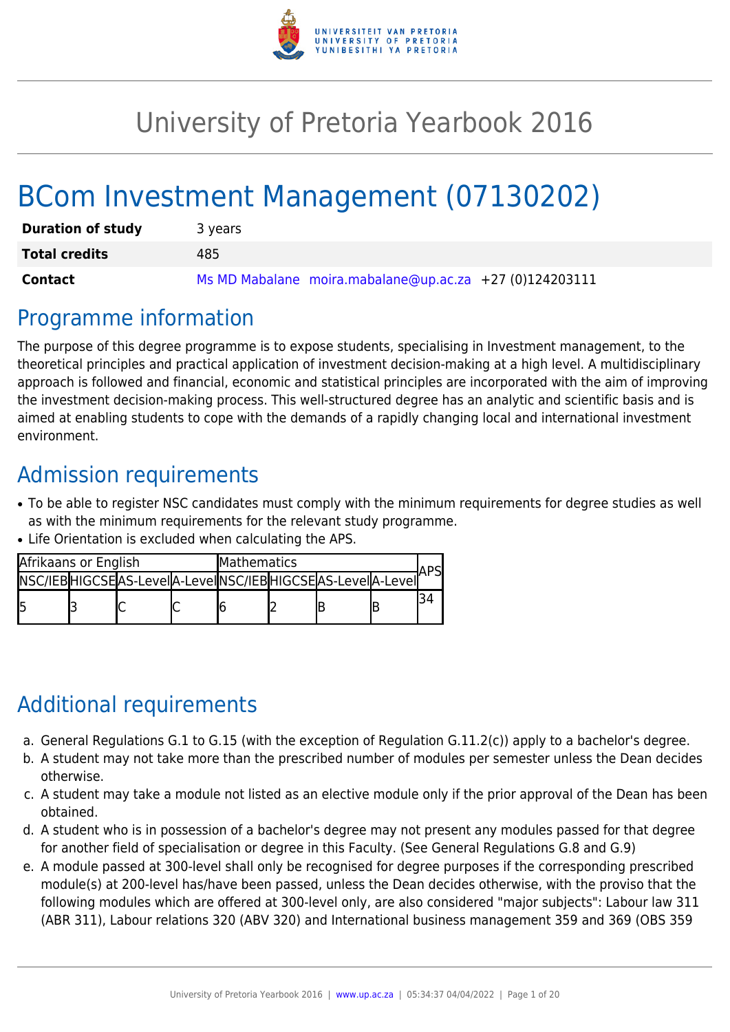

# University of Pretoria Yearbook 2016

# BCom Investment Management (07130202)

| <b>Duration of study</b> | 3 years                                                 |
|--------------------------|---------------------------------------------------------|
| <b>Total credits</b>     | 485                                                     |
| <b>Contact</b>           | Ms MD Mabalane moira.mabalane@up.ac.za +27 (0)124203111 |

# Programme information

The purpose of this degree programme is to expose students, specialising in Investment management, to the theoretical principles and practical application of investment decision-making at a high level. A multidisciplinary approach is followed and financial, economic and statistical principles are incorporated with the aim of improving the investment decision-making process. This well-structured degree has an analytic and scientific basis and is aimed at enabling students to cope with the demands of a rapidly changing local and international investment environment.

# Admission requirements

- To be able to register NSC candidates must comply with the minimum requirements for degree studies as well as with the minimum requirements for the relevant study programme.
- Life Orientation is excluded when calculating the APS.

| Afrikaans or English |  | <b>Mathematics</b>                                          |  |  |  |  |  |  |
|----------------------|--|-------------------------------------------------------------|--|--|--|--|--|--|
|                      |  | INSC/IEBHIGCSEAS-LeveIA-LeveIINSC/IEBHIGCSEAS-LeveIA-LeveII |  |  |  |  |  |  |
|                      |  |                                                             |  |  |  |  |  |  |

# Additional requirements

- a. General Regulations G.1 to G.15 (with the exception of Regulation G.11.2(c)) apply to a bachelor's degree.
- b. A student may not take more than the prescribed number of modules per semester unless the Dean decides otherwise.
- c. A student may take a module not listed as an elective module only if the prior approval of the Dean has been obtained.
- d. A student who is in possession of a bachelor's degree may not present any modules passed for that degree for another field of specialisation or degree in this Faculty. (See General Regulations G.8 and G.9)
- e. A module passed at 300-level shall only be recognised for degree purposes if the corresponding prescribed module(s) at 200-level has/have been passed, unless the Dean decides otherwise, with the proviso that the following modules which are offered at 300-level only, are also considered "major subjects": Labour law 311 (ABR 311), Labour relations 320 (ABV 320) and International business management 359 and 369 (OBS 359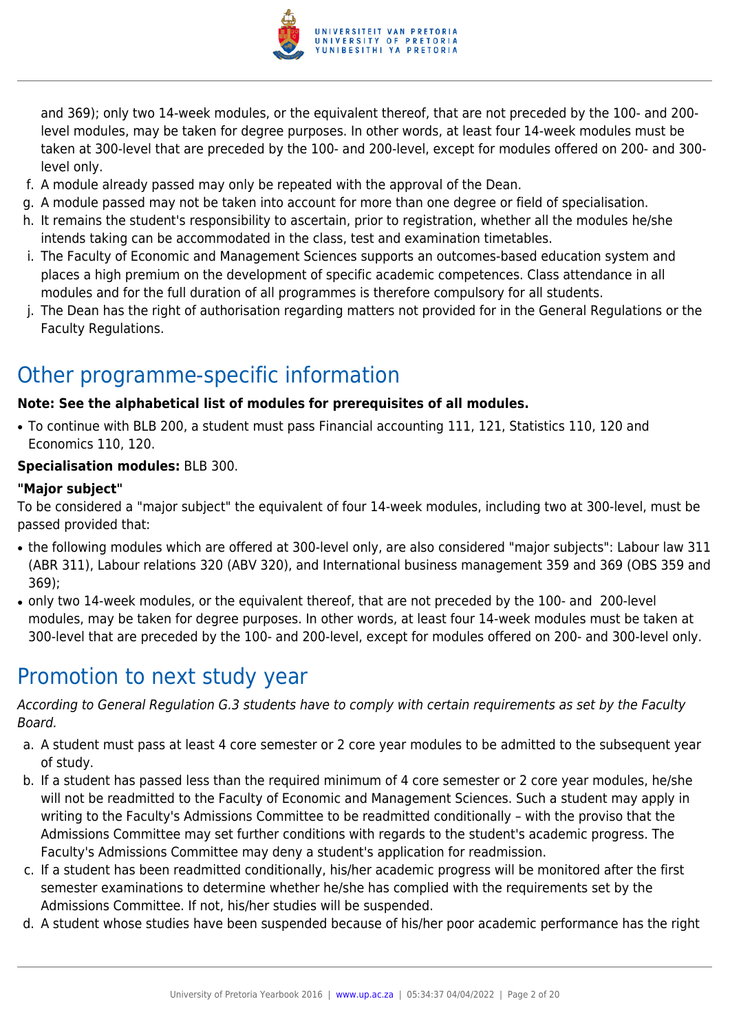

and 369); only two 14-week modules, or the equivalent thereof, that are not preceded by the 100- and 200 level modules, may be taken for degree purposes. In other words, at least four 14-week modules must be taken at 300-level that are preceded by the 100- and 200-level, except for modules offered on 200- and 300 level only.

- f. A module already passed may only be repeated with the approval of the Dean.
- g. A module passed may not be taken into account for more than one degree or field of specialisation.
- h. It remains the student's responsibility to ascertain, prior to registration, whether all the modules he/she intends taking can be accommodated in the class, test and examination timetables.
- i. The Faculty of Economic and Management Sciences supports an outcomes-based education system and places a high premium on the development of specific academic competences. Class attendance in all modules and for the full duration of all programmes is therefore compulsory for all students.
- j. The Dean has the right of authorisation regarding matters not provided for in the General Regulations or the Faculty Regulations.

# Other programme-specific information

#### **Note: See the alphabetical list of modules for prerequisites of all modules.**

● To continue with BLB 200, a student must pass Financial accounting 111, 121, Statistics 110, 120 and Economics 110, 120.

#### **Specialisation modules:** BLB 300.

#### **"Major subject"**

To be considered a "major subject" the equivalent of four 14-week modules, including two at 300-level, must be passed provided that:

- the following modules which are offered at 300-level only, are also considered "major subjects": Labour law 311 (ABR 311), Labour relations 320 (ABV 320), and International business management 359 and 369 (OBS 359 and 369);
- only two 14-week modules, or the equivalent thereof, that are not preceded by the 100- and 200-level modules, may be taken for degree purposes. In other words, at least four 14-week modules must be taken at 300-level that are preceded by the 100- and 200-level, except for modules offered on 200- and 300-level only.

# Promotion to next study year

According to General Regulation G.3 students have to comply with certain requirements as set by the Faculty Board.

- a. A student must pass at least 4 core semester or 2 core year modules to be admitted to the subsequent year of study.
- b. If a student has passed less than the required minimum of 4 core semester or 2 core year modules, he/she will not be readmitted to the Faculty of Economic and Management Sciences. Such a student may apply in writing to the Faculty's Admissions Committee to be readmitted conditionally – with the proviso that the Admissions Committee may set further conditions with regards to the student's academic progress. The Faculty's Admissions Committee may deny a student's application for readmission.
- c. If a student has been readmitted conditionally, his/her academic progress will be monitored after the first semester examinations to determine whether he/she has complied with the requirements set by the Admissions Committee. If not, his/her studies will be suspended.
- d. A student whose studies have been suspended because of his/her poor academic performance has the right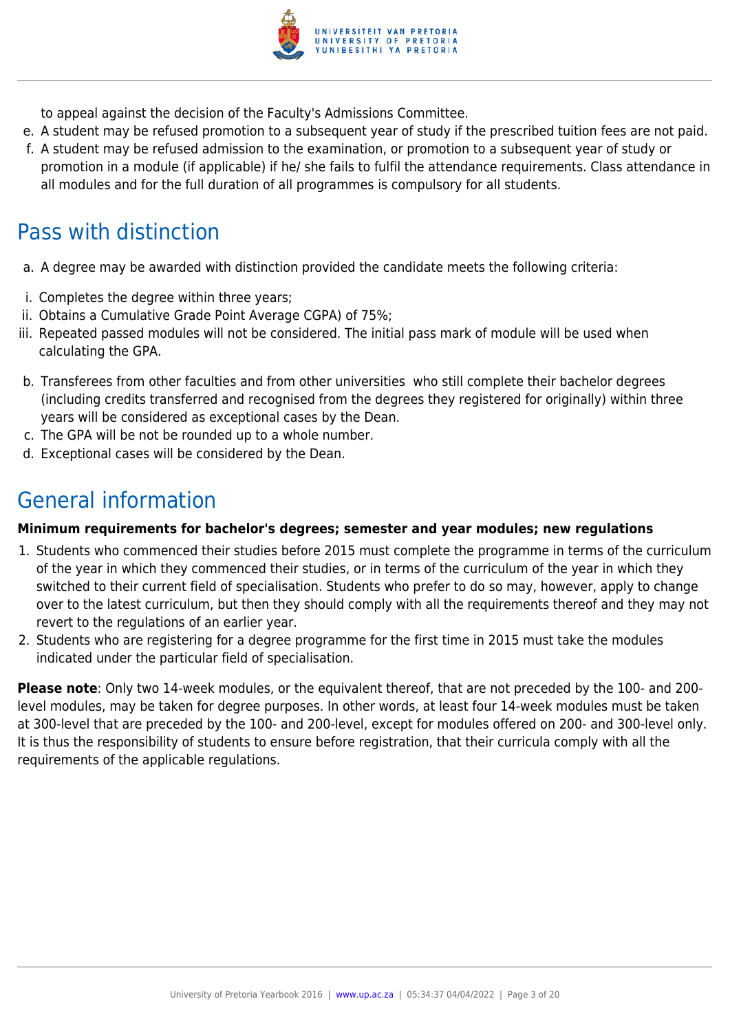

to appeal against the decision of the Faculty's Admissions Committee.

- e. A student may be refused promotion to a subsequent year of study if the prescribed tuition fees are not paid.
- f. A student may be refused admission to the examination, or promotion to a subsequent year of study or promotion in a module (if applicable) if he/ she fails to fulfil the attendance requirements. Class attendance in all modules and for the full duration of all programmes is compulsory for all students.

# Pass with distinction

- a. A degree may be awarded with distinction provided the candidate meets the following criteria:
- i. Completes the degree within three years;
- ii. Obtains a Cumulative Grade Point Average CGPA) of 75%;
- iii. Repeated passed modules will not be considered. The initial pass mark of module will be used when calculating the GPA.
- b. Transferees from other faculties and from other universities who still complete their bachelor degrees (including credits transferred and recognised from the degrees they registered for originally) within three years will be considered as exceptional cases by the Dean.
- c. The GPA will be not be rounded up to a whole number.
- d. Exceptional cases will be considered by the Dean.

# General information

#### **Minimum requirements for bachelor's degrees; semester and year modules; new regulations**

- 1. Students who commenced their studies before 2015 must complete the programme in terms of the curriculum of the year in which they commenced their studies, or in terms of the curriculum of the year in which they switched to their current field of specialisation. Students who prefer to do so may, however, apply to change over to the latest curriculum, but then they should comply with all the requirements thereof and they may not revert to the regulations of an earlier year.
- 2. Students who are registering for a degree programme for the first time in 2015 must take the modules indicated under the particular field of specialisation.

**Please note**: Only two 14-week modules, or the equivalent thereof, that are not preceded by the 100- and 200 level modules, may be taken for degree purposes. In other words, at least four 14-week modules must be taken at 300-level that are preceded by the 100- and 200-level, except for modules offered on 200- and 300-level only. It is thus the responsibility of students to ensure before registration, that their curricula comply with all the requirements of the applicable regulations.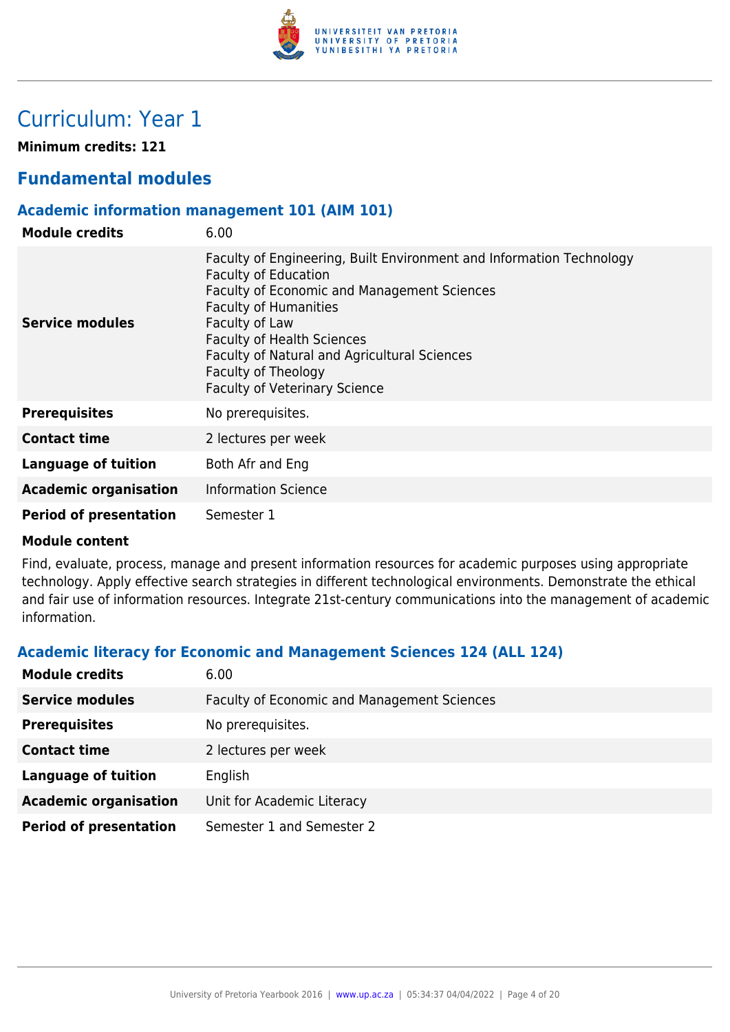

# Curriculum: Year 1

**Minimum credits: 121**

### **Fundamental modules**

#### **Academic information management 101 (AIM 101)**

| <b>Module credits</b>         | 6.00                                                                                                                                                                                                                                                                                                                                                     |
|-------------------------------|----------------------------------------------------------------------------------------------------------------------------------------------------------------------------------------------------------------------------------------------------------------------------------------------------------------------------------------------------------|
| <b>Service modules</b>        | Faculty of Engineering, Built Environment and Information Technology<br><b>Faculty of Education</b><br>Faculty of Economic and Management Sciences<br><b>Faculty of Humanities</b><br>Faculty of Law<br><b>Faculty of Health Sciences</b><br>Faculty of Natural and Agricultural Sciences<br>Faculty of Theology<br><b>Faculty of Veterinary Science</b> |
| <b>Prerequisites</b>          | No prerequisites.                                                                                                                                                                                                                                                                                                                                        |
| <b>Contact time</b>           | 2 lectures per week                                                                                                                                                                                                                                                                                                                                      |
| Language of tuition           | Both Afr and Eng                                                                                                                                                                                                                                                                                                                                         |
| <b>Academic organisation</b>  | <b>Information Science</b>                                                                                                                                                                                                                                                                                                                               |
| <b>Period of presentation</b> | Semester 1                                                                                                                                                                                                                                                                                                                                               |

#### **Module content**

Find, evaluate, process, manage and present information resources for academic purposes using appropriate technology. Apply effective search strategies in different technological environments. Demonstrate the ethical and fair use of information resources. Integrate 21st-century communications into the management of academic information.

#### **Academic literacy for Economic and Management Sciences 124 (ALL 124)**

| <b>Module credits</b>         | 6.00                                               |
|-------------------------------|----------------------------------------------------|
| <b>Service modules</b>        | <b>Faculty of Economic and Management Sciences</b> |
| <b>Prerequisites</b>          | No prerequisites.                                  |
| <b>Contact time</b>           | 2 lectures per week                                |
| <b>Language of tuition</b>    | English                                            |
| <b>Academic organisation</b>  | Unit for Academic Literacy                         |
| <b>Period of presentation</b> | Semester 1 and Semester 2                          |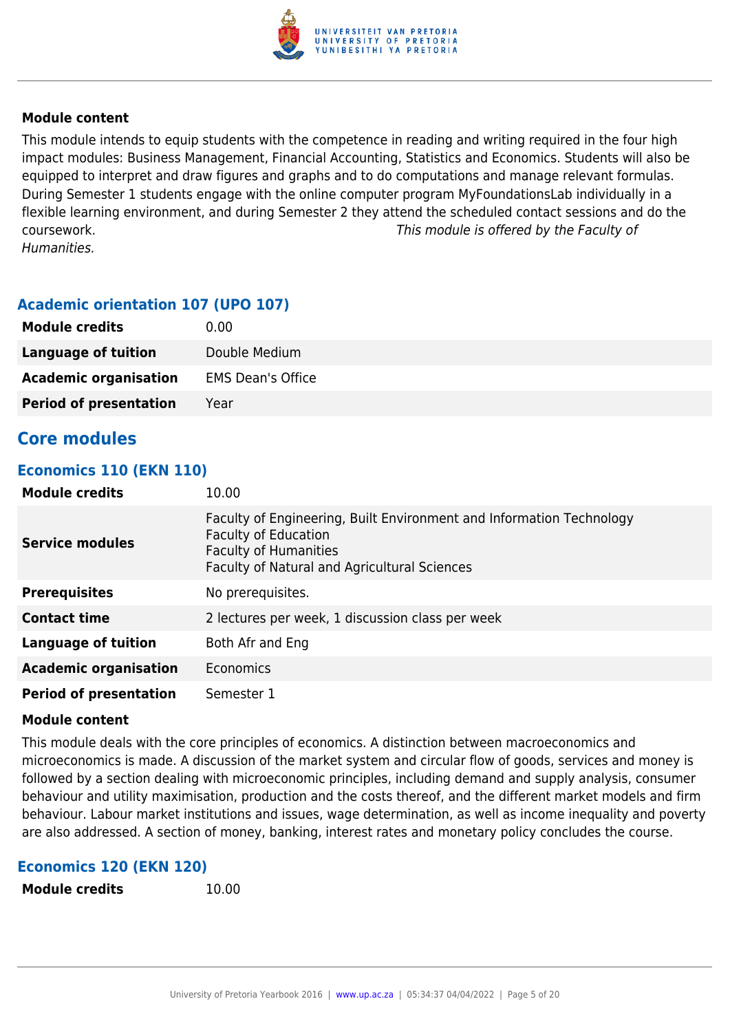

This module intends to equip students with the competence in reading and writing required in the four high impact modules: Business Management, Financial Accounting, Statistics and Economics. Students will also be equipped to interpret and draw figures and graphs and to do computations and manage relevant formulas. During Semester 1 students engage with the online computer program MyFoundationsLab individually in a flexible learning environment, and during Semester 2 they attend the scheduled contact sessions and do the coursework. This module is offered by the Faculty of Humanities.

#### **Academic orientation 107 (UPO 107)**

| <b>Module credits</b>         | 0.00                     |
|-------------------------------|--------------------------|
| Language of tuition           | Double Medium            |
| <b>Academic organisation</b>  | <b>EMS Dean's Office</b> |
| <b>Period of presentation</b> | Year                     |

### **Core modules**

#### **Economics 110 (EKN 110)**

| <b>Module credits</b>         | 10.00                                                                                                                                                                                      |
|-------------------------------|--------------------------------------------------------------------------------------------------------------------------------------------------------------------------------------------|
| <b>Service modules</b>        | Faculty of Engineering, Built Environment and Information Technology<br><b>Faculty of Education</b><br><b>Faculty of Humanities</b><br><b>Faculty of Natural and Agricultural Sciences</b> |
| <b>Prerequisites</b>          | No prerequisites.                                                                                                                                                                          |
| <b>Contact time</b>           | 2 lectures per week, 1 discussion class per week                                                                                                                                           |
| <b>Language of tuition</b>    | Both Afr and Eng                                                                                                                                                                           |
| <b>Academic organisation</b>  | Economics                                                                                                                                                                                  |
| <b>Period of presentation</b> | Semester 1                                                                                                                                                                                 |

#### **Module content**

This module deals with the core principles of economics. A distinction between macroeconomics and microeconomics is made. A discussion of the market system and circular flow of goods, services and money is followed by a section dealing with microeconomic principles, including demand and supply analysis, consumer behaviour and utility maximisation, production and the costs thereof, and the different market models and firm behaviour. Labour market institutions and issues, wage determination, as well as income inequality and poverty are also addressed. A section of money, banking, interest rates and monetary policy concludes the course.

#### **Economics 120 (EKN 120)**

```
Module credits 10.00
```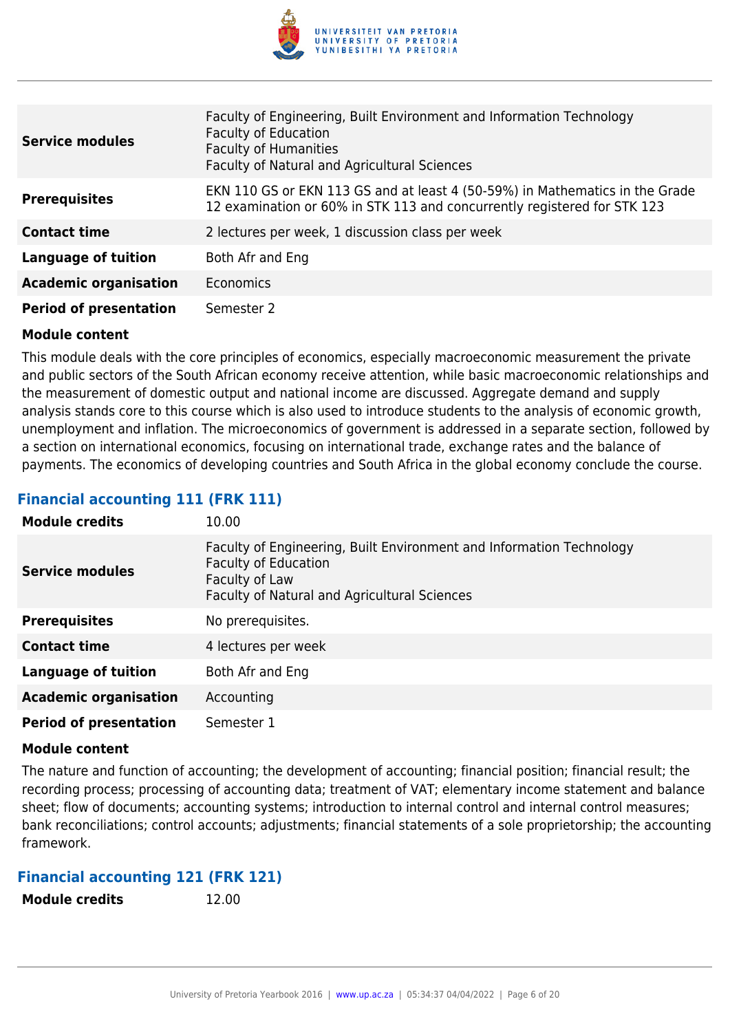

| <b>Service modules</b>        | Faculty of Engineering, Built Environment and Information Technology<br><b>Faculty of Education</b><br><b>Faculty of Humanities</b><br>Faculty of Natural and Agricultural Sciences |
|-------------------------------|-------------------------------------------------------------------------------------------------------------------------------------------------------------------------------------|
| <b>Prerequisites</b>          | EKN 110 GS or EKN 113 GS and at least 4 (50-59%) in Mathematics in the Grade<br>12 examination or 60% in STK 113 and concurrently registered for STK 123                            |
| <b>Contact time</b>           | 2 lectures per week, 1 discussion class per week                                                                                                                                    |
| <b>Language of tuition</b>    | Both Afr and Eng                                                                                                                                                                    |
| <b>Academic organisation</b>  | <b>Economics</b>                                                                                                                                                                    |
| <b>Period of presentation</b> | Semester 2                                                                                                                                                                          |

This module deals with the core principles of economics, especially macroeconomic measurement the private and public sectors of the South African economy receive attention, while basic macroeconomic relationships and the measurement of domestic output and national income are discussed. Aggregate demand and supply analysis stands core to this course which is also used to introduce students to the analysis of economic growth, unemployment and inflation. The microeconomics of government is addressed in a separate section, followed by a section on international economics, focusing on international trade, exchange rates and the balance of payments. The economics of developing countries and South Africa in the global economy conclude the course.

### **Financial accounting 111 (FRK 111)**

| <b>Module credits</b>         | 10.00                                                                                                                                                                 |
|-------------------------------|-----------------------------------------------------------------------------------------------------------------------------------------------------------------------|
| <b>Service modules</b>        | Faculty of Engineering, Built Environment and Information Technology<br><b>Faculty of Education</b><br>Faculty of Law<br>Faculty of Natural and Agricultural Sciences |
| <b>Prerequisites</b>          | No prerequisites.                                                                                                                                                     |
| <b>Contact time</b>           | 4 lectures per week                                                                                                                                                   |
| <b>Language of tuition</b>    | Both Afr and Eng                                                                                                                                                      |
| <b>Academic organisation</b>  | Accounting                                                                                                                                                            |
| <b>Period of presentation</b> | Semester 1                                                                                                                                                            |

#### **Module content**

The nature and function of accounting; the development of accounting; financial position; financial result; the recording process; processing of accounting data; treatment of VAT; elementary income statement and balance sheet; flow of documents; accounting systems; introduction to internal control and internal control measures; bank reconciliations; control accounts; adjustments; financial statements of a sole proprietorship; the accounting framework.

#### **Financial accounting 121 (FRK 121)**

| <b>Module credits</b> | 12.00 |
|-----------------------|-------|
|                       |       |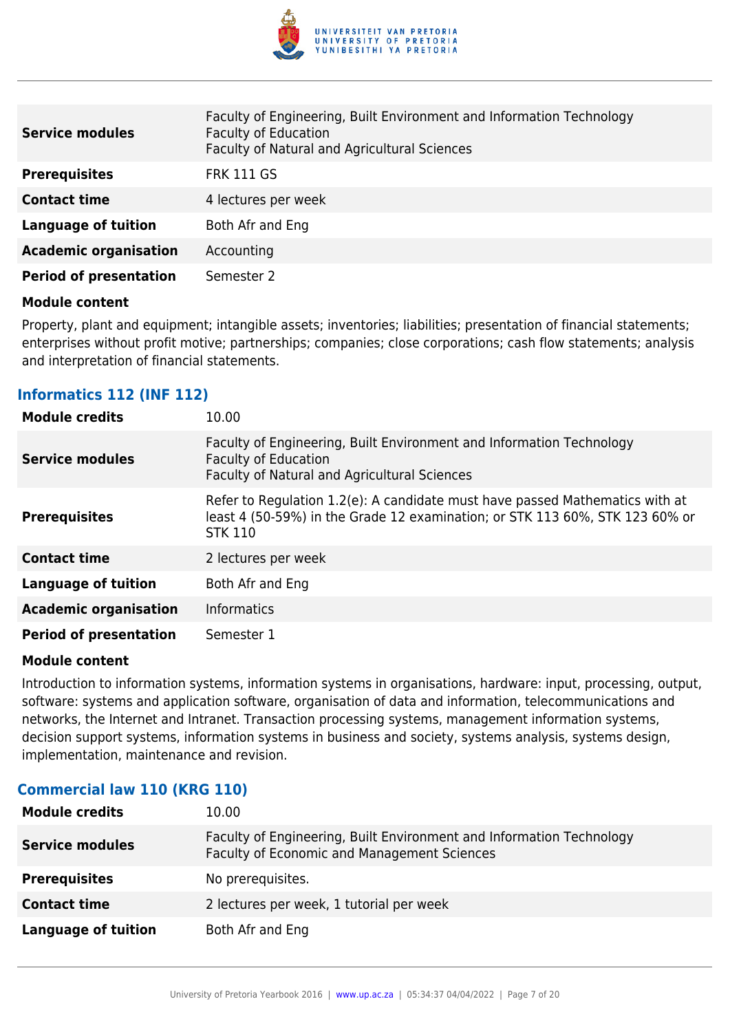

| <b>Service modules</b>        | Faculty of Engineering, Built Environment and Information Technology<br><b>Faculty of Education</b><br>Faculty of Natural and Agricultural Sciences |
|-------------------------------|-----------------------------------------------------------------------------------------------------------------------------------------------------|
| <b>Prerequisites</b>          | <b>FRK 111 GS</b>                                                                                                                                   |
| <b>Contact time</b>           | 4 lectures per week                                                                                                                                 |
| <b>Language of tuition</b>    | Both Afr and Eng                                                                                                                                    |
| <b>Academic organisation</b>  | Accounting                                                                                                                                          |
| <b>Period of presentation</b> | Semester 2                                                                                                                                          |

Property, plant and equipment; intangible assets; inventories; liabilities; presentation of financial statements; enterprises without profit motive; partnerships; companies; close corporations; cash flow statements; analysis and interpretation of financial statements.

#### **Informatics 112 (INF 112)**

| <b>Module credits</b>         | 10.00                                                                                                                                                                          |
|-------------------------------|--------------------------------------------------------------------------------------------------------------------------------------------------------------------------------|
| Service modules               | Faculty of Engineering, Built Environment and Information Technology<br><b>Faculty of Education</b><br>Faculty of Natural and Agricultural Sciences                            |
| <b>Prerequisites</b>          | Refer to Regulation 1.2(e): A candidate must have passed Mathematics with at<br>least 4 (50-59%) in the Grade 12 examination; or STK 113 60%, STK 123 60% or<br><b>STK 110</b> |
| <b>Contact time</b>           | 2 lectures per week                                                                                                                                                            |
| <b>Language of tuition</b>    | Both Afr and Eng                                                                                                                                                               |
| <b>Academic organisation</b>  | <b>Informatics</b>                                                                                                                                                             |
| <b>Period of presentation</b> | Semester 1                                                                                                                                                                     |

#### **Module content**

Introduction to information systems, information systems in organisations, hardware: input, processing, output, software: systems and application software, organisation of data and information, telecommunications and networks, the Internet and Intranet. Transaction processing systems, management information systems, decision support systems, information systems in business and society, systems analysis, systems design, implementation, maintenance and revision.

| <b>Module credits</b>  | 10.00                                                                                                               |
|------------------------|---------------------------------------------------------------------------------------------------------------------|
| <b>Service modules</b> | Faculty of Engineering, Built Environment and Information Technology<br>Faculty of Economic and Management Sciences |
| <b>Prerequisites</b>   | No prerequisites.                                                                                                   |
| <b>Contact time</b>    | 2 lectures per week, 1 tutorial per week                                                                            |
| Language of tuition    | Both Afr and Eng                                                                                                    |

#### **Commercial law 110 (KRG 110)**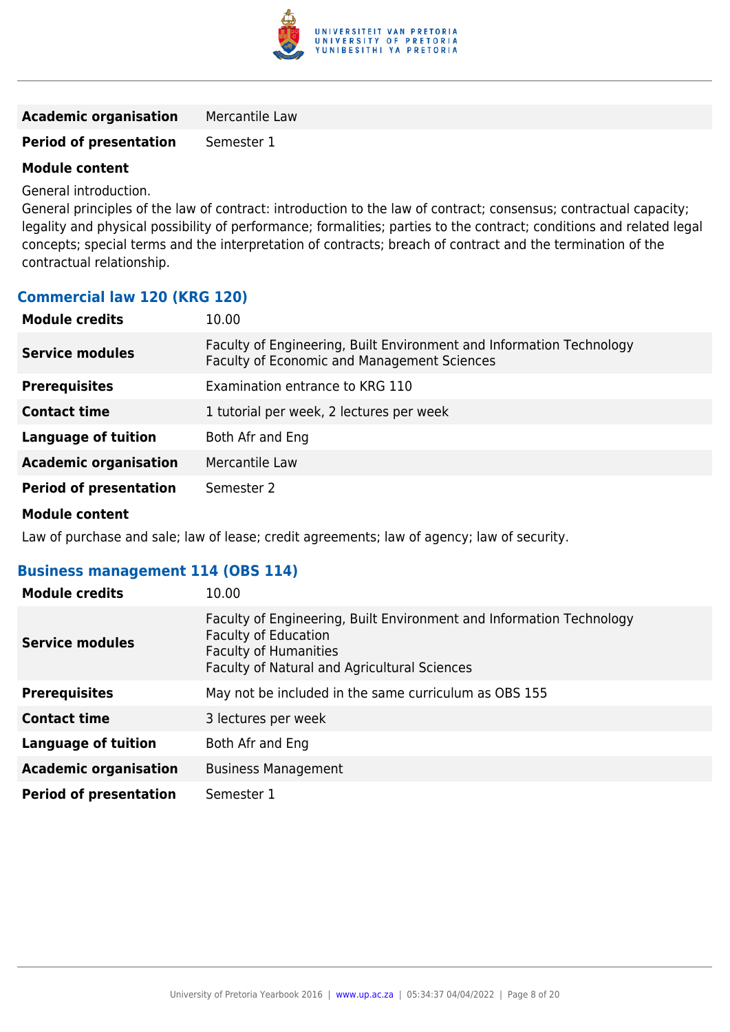

| <b>Academic organisation</b> | Mercantile Law |
|------------------------------|----------------|
|------------------------------|----------------|

### **Period of presentation** Semester 1

### **Module content**

General introduction.

General principles of the law of contract: introduction to the law of contract; consensus; contractual capacity; legality and physical possibility of performance; formalities; parties to the contract; conditions and related legal concepts; special terms and the interpretation of contracts; breach of contract and the termination of the contractual relationship.

#### **Commercial law 120 (KRG 120)**

| <b>Module credits</b>         | 10.00                                                                                                               |
|-------------------------------|---------------------------------------------------------------------------------------------------------------------|
| <b>Service modules</b>        | Faculty of Engineering, Built Environment and Information Technology<br>Faculty of Economic and Management Sciences |
| <b>Prerequisites</b>          | Examination entrance to KRG 110                                                                                     |
| <b>Contact time</b>           | 1 tutorial per week, 2 lectures per week                                                                            |
| <b>Language of tuition</b>    | Both Afr and Eng                                                                                                    |
| <b>Academic organisation</b>  | Mercantile Law                                                                                                      |
| <b>Period of presentation</b> | Semester 2                                                                                                          |

#### **Module content**

Law of purchase and sale; law of lease; credit agreements; law of agency; law of security.

#### **Business management 114 (OBS 114)**

| <b>Module credits</b>         | 10.00                                                                                                                                                                               |
|-------------------------------|-------------------------------------------------------------------------------------------------------------------------------------------------------------------------------------|
| <b>Service modules</b>        | Faculty of Engineering, Built Environment and Information Technology<br><b>Faculty of Education</b><br><b>Faculty of Humanities</b><br>Faculty of Natural and Agricultural Sciences |
| <b>Prerequisites</b>          | May not be included in the same curriculum as OBS 155                                                                                                                               |
| <b>Contact time</b>           | 3 lectures per week                                                                                                                                                                 |
| <b>Language of tuition</b>    | Both Afr and Eng                                                                                                                                                                    |
| <b>Academic organisation</b>  | <b>Business Management</b>                                                                                                                                                          |
| <b>Period of presentation</b> | Semester 1                                                                                                                                                                          |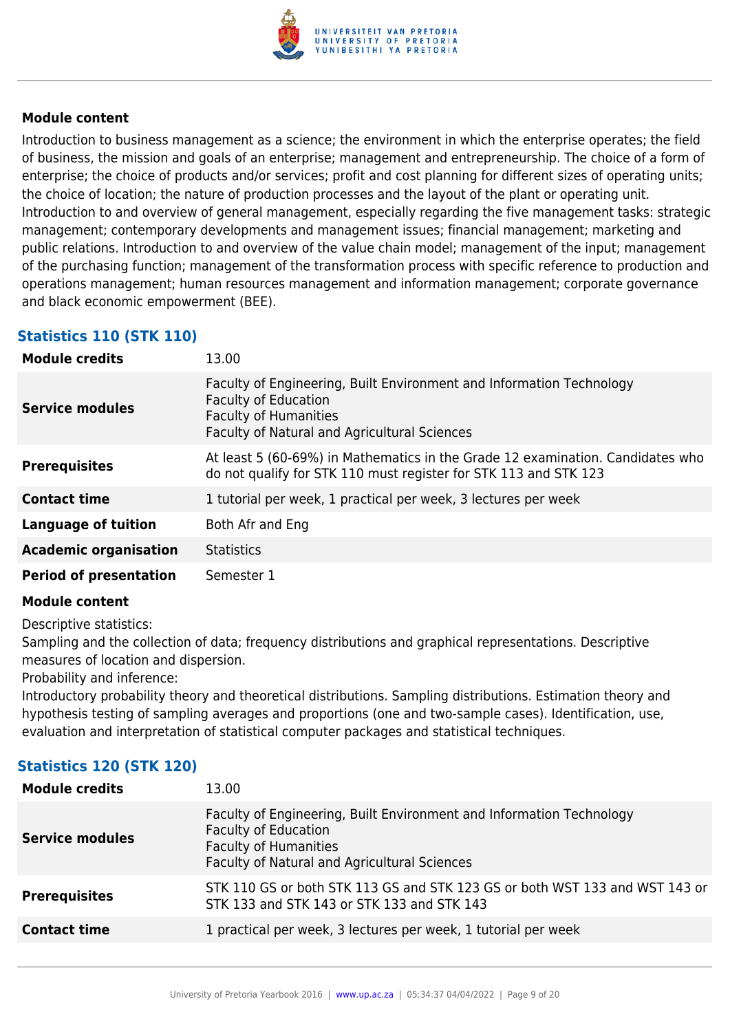

Introduction to business management as a science; the environment in which the enterprise operates; the field of business, the mission and goals of an enterprise; management and entrepreneurship. The choice of a form of enterprise; the choice of products and/or services; profit and cost planning for different sizes of operating units; the choice of location; the nature of production processes and the layout of the plant or operating unit. Introduction to and overview of general management, especially regarding the five management tasks: strategic management; contemporary developments and management issues; financial management; marketing and public relations. Introduction to and overview of the value chain model; management of the input; management of the purchasing function; management of the transformation process with specific reference to production and operations management; human resources management and information management; corporate governance and black economic empowerment (BEE).

### **Statistics 110 (STK 110)**

| <b>Module credits</b>         | 13.00                                                                                                                                                                                      |
|-------------------------------|--------------------------------------------------------------------------------------------------------------------------------------------------------------------------------------------|
| <b>Service modules</b>        | Faculty of Engineering, Built Environment and Information Technology<br><b>Faculty of Education</b><br><b>Faculty of Humanities</b><br><b>Faculty of Natural and Agricultural Sciences</b> |
| <b>Prerequisites</b>          | At least 5 (60-69%) in Mathematics in the Grade 12 examination. Candidates who<br>do not qualify for STK 110 must register for STK 113 and STK 123                                         |
| <b>Contact time</b>           | 1 tutorial per week, 1 practical per week, 3 lectures per week                                                                                                                             |
| <b>Language of tuition</b>    | Both Afr and Eng                                                                                                                                                                           |
| <b>Academic organisation</b>  | <b>Statistics</b>                                                                                                                                                                          |
| <b>Period of presentation</b> | Semester 1                                                                                                                                                                                 |

#### **Module content**

Descriptive statistics:

Sampling and the collection of data; frequency distributions and graphical representations. Descriptive measures of location and dispersion.

Probability and inference:

Introductory probability theory and theoretical distributions. Sampling distributions. Estimation theory and hypothesis testing of sampling averages and proportions (one and two-sample cases). Identification, use, evaluation and interpretation of statistical computer packages and statistical techniques.

#### **Statistics 120 (STK 120)**

| Faculty of Engineering, Built Environment and Information Technology<br><b>Faculty of Education</b><br><b>Service modules</b><br><b>Faculty of Humanities</b><br>Faculty of Natural and Agricultural Sciences<br>STK 110 GS or both STK 113 GS and STK 123 GS or both WST 133 and WST 143 or<br><b>Prerequisites</b><br>STK 133 and STK 143 or STK 133 and STK 143<br>1 practical per week, 3 lectures per week, 1 tutorial per week<br><b>Contact time</b> | <b>Module credits</b> | 13.00 |
|-------------------------------------------------------------------------------------------------------------------------------------------------------------------------------------------------------------------------------------------------------------------------------------------------------------------------------------------------------------------------------------------------------------------------------------------------------------|-----------------------|-------|
|                                                                                                                                                                                                                                                                                                                                                                                                                                                             |                       |       |
|                                                                                                                                                                                                                                                                                                                                                                                                                                                             |                       |       |
|                                                                                                                                                                                                                                                                                                                                                                                                                                                             |                       |       |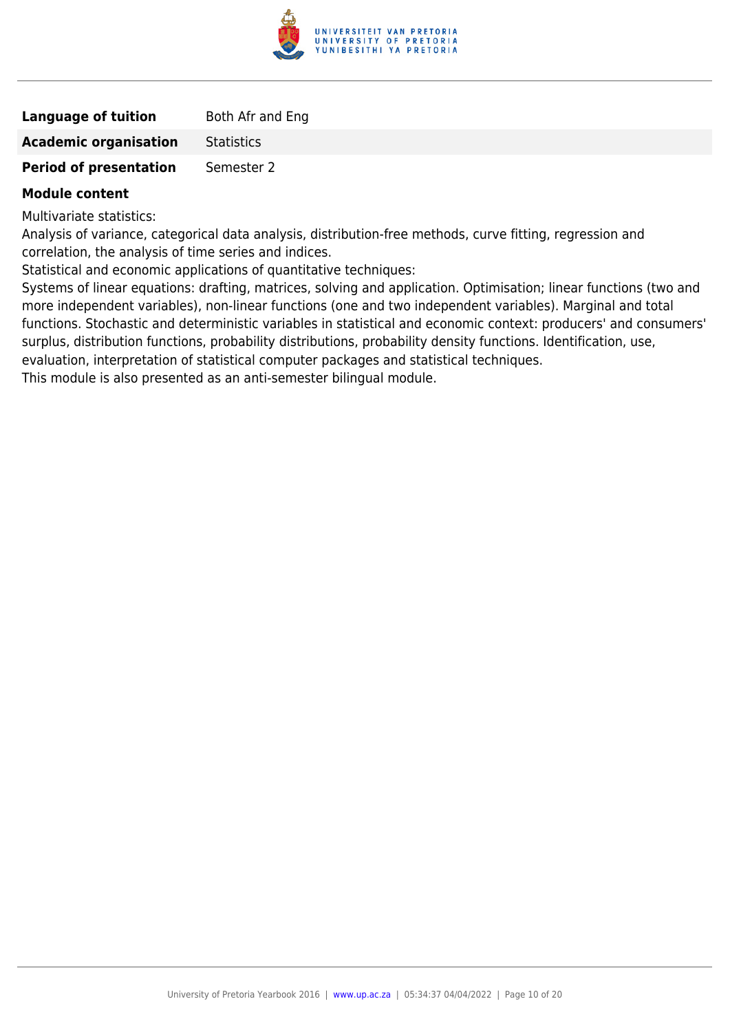

| <b>Language of tuition</b>    | Both Afr and Eng  |
|-------------------------------|-------------------|
| <b>Academic organisation</b>  | <b>Statistics</b> |
| <b>Period of presentation</b> | Semester 2        |

Multivariate statistics:

Analysis of variance, categorical data analysis, distribution-free methods, curve fitting, regression and correlation, the analysis of time series and indices.

Statistical and economic applications of quantitative techniques:

Systems of linear equations: drafting, matrices, solving and application. Optimisation; linear functions (two and more independent variables), non-linear functions (one and two independent variables). Marginal and total functions. Stochastic and deterministic variables in statistical and economic context: producers' and consumers' surplus, distribution functions, probability distributions, probability density functions. Identification, use, evaluation, interpretation of statistical computer packages and statistical techniques.

This module is also presented as an anti-semester bilingual module.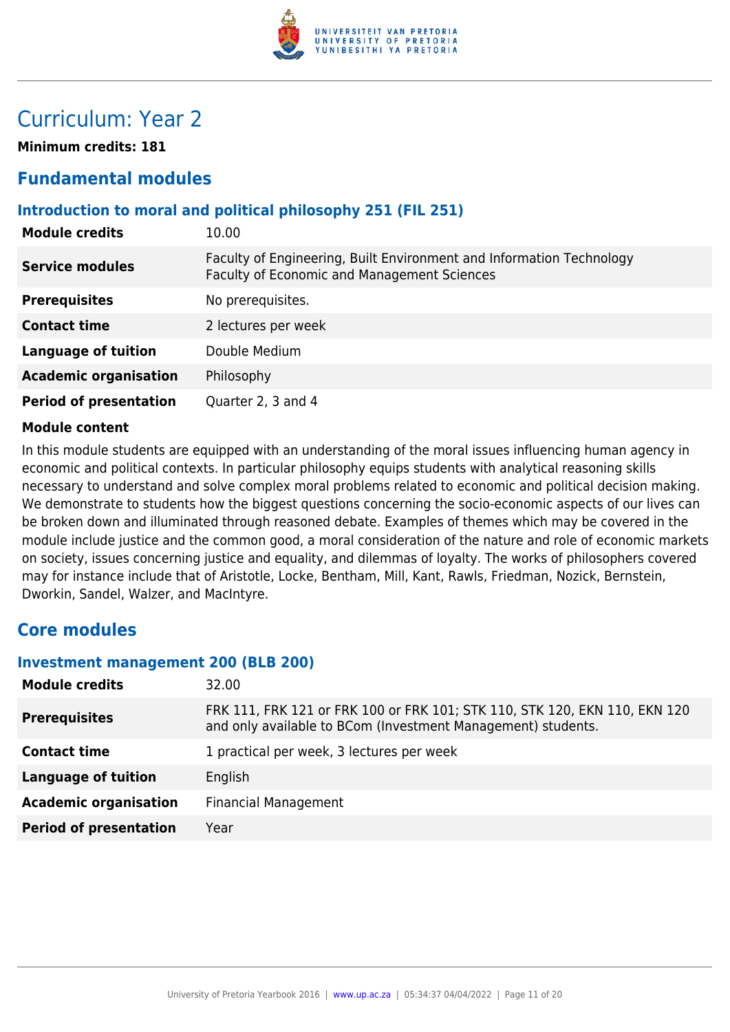

# Curriculum: Year 2

**Minimum credits: 181**

### **Fundamental modules**

#### **Introduction to moral and political philosophy 251 (FIL 251)**

| <b>Module credits</b>         | 10.00                                                                                                               |
|-------------------------------|---------------------------------------------------------------------------------------------------------------------|
| <b>Service modules</b>        | Faculty of Engineering, Built Environment and Information Technology<br>Faculty of Economic and Management Sciences |
| <b>Prerequisites</b>          | No prerequisites.                                                                                                   |
| <b>Contact time</b>           | 2 lectures per week                                                                                                 |
| <b>Language of tuition</b>    | Double Medium                                                                                                       |
| <b>Academic organisation</b>  | Philosophy                                                                                                          |
| <b>Period of presentation</b> | Quarter 2, 3 and 4                                                                                                  |

#### **Module content**

In this module students are equipped with an understanding of the moral issues influencing human agency in economic and political contexts. In particular philosophy equips students with analytical reasoning skills necessary to understand and solve complex moral problems related to economic and political decision making. We demonstrate to students how the biggest questions concerning the socio-economic aspects of our lives can be broken down and illuminated through reasoned debate. Examples of themes which may be covered in the module include justice and the common good, a moral consideration of the nature and role of economic markets on society, issues concerning justice and equality, and dilemmas of loyalty. The works of philosophers covered may for instance include that of Aristotle, Locke, Bentham, Mill, Kant, Rawls, Friedman, Nozick, Bernstein, Dworkin, Sandel, Walzer, and MacIntyre.

### **Core modules**

#### **Investment management 200 (BLB 200)**

| <b>Module credits</b>         | 32.00                                                                                                                                      |
|-------------------------------|--------------------------------------------------------------------------------------------------------------------------------------------|
| <b>Prerequisites</b>          | FRK 111, FRK 121 or FRK 100 or FRK 101; STK 110, STK 120, EKN 110, EKN 120<br>and only available to BCom (Investment Management) students. |
| <b>Contact time</b>           | 1 practical per week, 3 lectures per week                                                                                                  |
| <b>Language of tuition</b>    | English                                                                                                                                    |
| <b>Academic organisation</b>  | <b>Financial Management</b>                                                                                                                |
| <b>Period of presentation</b> | Year                                                                                                                                       |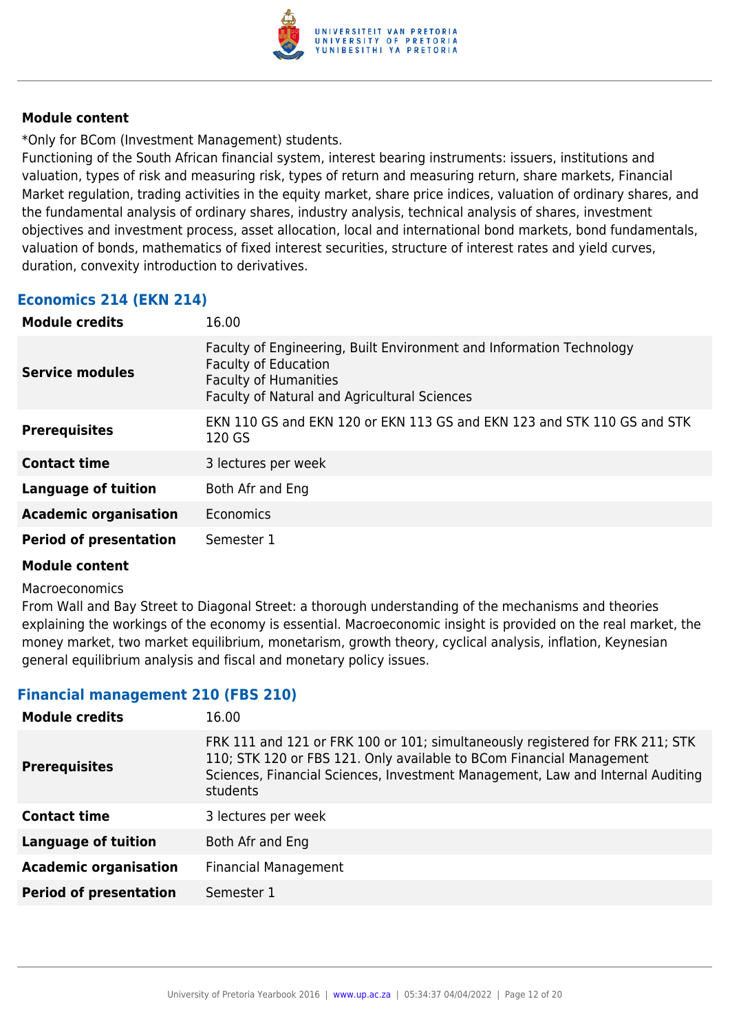

\*Only for BCom (Investment Management) students.

Functioning of the South African financial system, interest bearing instruments: issuers, institutions and valuation, types of risk and measuring risk, types of return and measuring return, share markets, Financial Market regulation, trading activities in the equity market, share price indices, valuation of ordinary shares, and the fundamental analysis of ordinary shares, industry analysis, technical analysis of shares, investment objectives and investment process, asset allocation, local and international bond markets, bond fundamentals, valuation of bonds, mathematics of fixed interest securities, structure of interest rates and yield curves, duration, convexity introduction to derivatives.

#### **Economics 214 (EKN 214)**

| <b>Module credits</b>         | 16.00                                                                                                                                                                               |
|-------------------------------|-------------------------------------------------------------------------------------------------------------------------------------------------------------------------------------|
| <b>Service modules</b>        | Faculty of Engineering, Built Environment and Information Technology<br><b>Faculty of Education</b><br><b>Faculty of Humanities</b><br>Faculty of Natural and Agricultural Sciences |
| <b>Prerequisites</b>          | EKN 110 GS and EKN 120 or EKN 113 GS and EKN 123 and STK 110 GS and STK<br>120 GS                                                                                                   |
| <b>Contact time</b>           | 3 lectures per week                                                                                                                                                                 |
| <b>Language of tuition</b>    | Both Afr and Eng                                                                                                                                                                    |
| <b>Academic organisation</b>  | Economics                                                                                                                                                                           |
| <b>Period of presentation</b> | Semester 1                                                                                                                                                                          |

#### **Module content**

#### Macroeconomics

From Wall and Bay Street to Diagonal Street: a thorough understanding of the mechanisms and theories explaining the workings of the economy is essential. Macroeconomic insight is provided on the real market, the money market, two market equilibrium, monetarism, growth theory, cyclical analysis, inflation, Keynesian general equilibrium analysis and fiscal and monetary policy issues.

#### **Financial management 210 (FBS 210)**

| 16.00                                                                                                                                                                                                                                               |
|-----------------------------------------------------------------------------------------------------------------------------------------------------------------------------------------------------------------------------------------------------|
| FRK 111 and 121 or FRK 100 or 101; simultaneously registered for FRK 211; STK<br>110; STK 120 or FBS 121. Only available to BCom Financial Management<br>Sciences, Financial Sciences, Investment Management, Law and Internal Auditing<br>students |
| 3 lectures per week                                                                                                                                                                                                                                 |
| Both Afr and Eng                                                                                                                                                                                                                                    |
| <b>Financial Management</b>                                                                                                                                                                                                                         |
| Semester 1                                                                                                                                                                                                                                          |
|                                                                                                                                                                                                                                                     |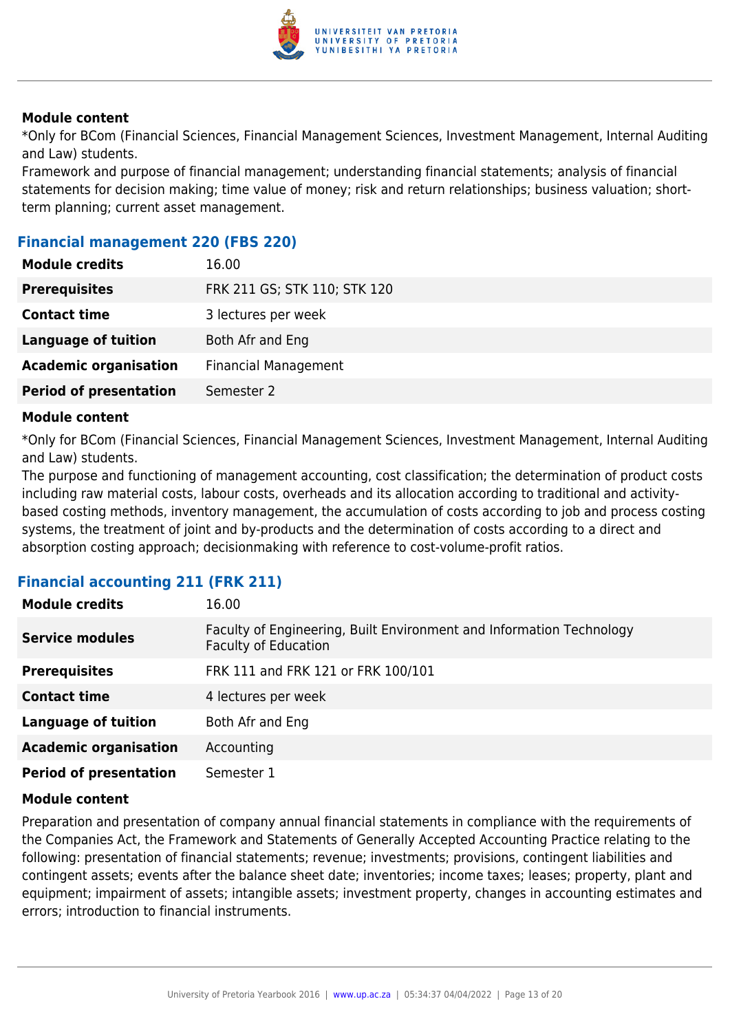

\*Only for BCom (Financial Sciences, Financial Management Sciences, Investment Management, Internal Auditing and Law) students.

Framework and purpose of financial management; understanding financial statements; analysis of financial statements for decision making; time value of money; risk and return relationships; business valuation; shortterm planning; current asset management.

#### **Financial management 220 (FBS 220)**

| <b>Module credits</b>         | 16.00                        |
|-------------------------------|------------------------------|
| <b>Prerequisites</b>          | FRK 211 GS; STK 110; STK 120 |
| <b>Contact time</b>           | 3 lectures per week          |
| <b>Language of tuition</b>    | Both Afr and Eng             |
| <b>Academic organisation</b>  | <b>Financial Management</b>  |
| <b>Period of presentation</b> | Semester 2                   |

#### **Module content**

\*Only for BCom (Financial Sciences, Financial Management Sciences, Investment Management, Internal Auditing and Law) students.

The purpose and functioning of management accounting, cost classification; the determination of product costs including raw material costs, labour costs, overheads and its allocation according to traditional and activitybased costing methods, inventory management, the accumulation of costs according to job and process costing systems, the treatment of joint and by-products and the determination of costs according to a direct and absorption costing approach; decisionmaking with reference to cost-volume-profit ratios.

#### **Financial accounting 211 (FRK 211)**

| <b>Module credits</b>         | 16.00                                                                                               |
|-------------------------------|-----------------------------------------------------------------------------------------------------|
| <b>Service modules</b>        | Faculty of Engineering, Built Environment and Information Technology<br><b>Faculty of Education</b> |
| <b>Prerequisites</b>          | FRK 111 and FRK 121 or FRK 100/101                                                                  |
| <b>Contact time</b>           | 4 lectures per week                                                                                 |
| <b>Language of tuition</b>    | Both Afr and Eng                                                                                    |
| <b>Academic organisation</b>  | Accounting                                                                                          |
| <b>Period of presentation</b> | Semester 1                                                                                          |

#### **Module content**

Preparation and presentation of company annual financial statements in compliance with the requirements of the Companies Act, the Framework and Statements of Generally Accepted Accounting Practice relating to the following: presentation of financial statements; revenue; investments; provisions, contingent liabilities and contingent assets; events after the balance sheet date; inventories; income taxes; leases; property, plant and equipment; impairment of assets; intangible assets; investment property, changes in accounting estimates and errors; introduction to financial instruments.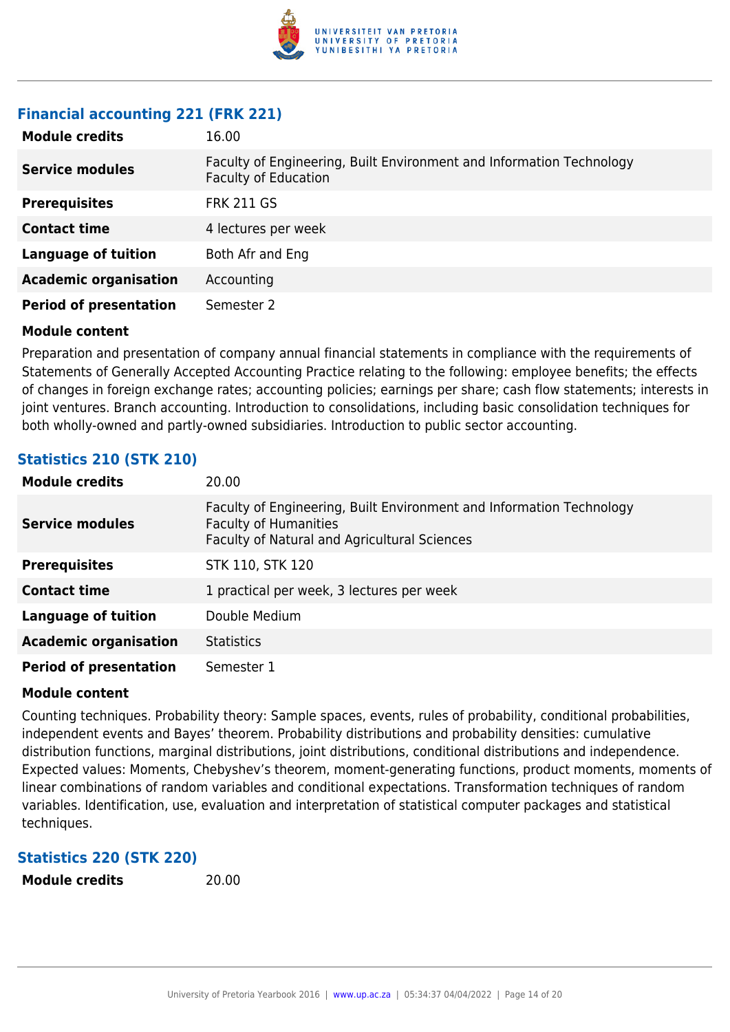

#### **Financial accounting 221 (FRK 221)**

| <b>Module credits</b>         | 16.00                                                                                               |
|-------------------------------|-----------------------------------------------------------------------------------------------------|
| <b>Service modules</b>        | Faculty of Engineering, Built Environment and Information Technology<br><b>Faculty of Education</b> |
| <b>Prerequisites</b>          | <b>FRK 211 GS</b>                                                                                   |
| <b>Contact time</b>           | 4 lectures per week                                                                                 |
| <b>Language of tuition</b>    | Both Afr and Eng                                                                                    |
| <b>Academic organisation</b>  | Accounting                                                                                          |
| <b>Period of presentation</b> | Semester 2                                                                                          |

#### **Module content**

Preparation and presentation of company annual financial statements in compliance with the requirements of Statements of Generally Accepted Accounting Practice relating to the following: employee benefits; the effects of changes in foreign exchange rates; accounting policies; earnings per share; cash flow statements; interests in joint ventures. Branch accounting. Introduction to consolidations, including basic consolidation techniques for both wholly-owned and partly-owned subsidiaries. Introduction to public sector accounting.

### **Statistics 210 (STK 210)**

| <b>Module credits</b>         | 20.00                                                                                                                                                |
|-------------------------------|------------------------------------------------------------------------------------------------------------------------------------------------------|
| <b>Service modules</b>        | Faculty of Engineering, Built Environment and Information Technology<br><b>Faculty of Humanities</b><br>Faculty of Natural and Agricultural Sciences |
| <b>Prerequisites</b>          | STK 110, STK 120                                                                                                                                     |
| <b>Contact time</b>           | 1 practical per week, 3 lectures per week                                                                                                            |
| Language of tuition           | Double Medium                                                                                                                                        |
| <b>Academic organisation</b>  | <b>Statistics</b>                                                                                                                                    |
| <b>Period of presentation</b> | Semester 1                                                                                                                                           |

#### **Module content**

Counting techniques. Probability theory: Sample spaces, events, rules of probability, conditional probabilities, independent events and Bayes' theorem. Probability distributions and probability densities: cumulative distribution functions, marginal distributions, joint distributions, conditional distributions and independence. Expected values: Moments, Chebyshev's theorem, moment-generating functions, product moments, moments of linear combinations of random variables and conditional expectations. Transformation techniques of random variables. Identification, use, evaluation and interpretation of statistical computer packages and statistical techniques.

#### **Statistics 220 (STK 220)**

**Module credits** 20.00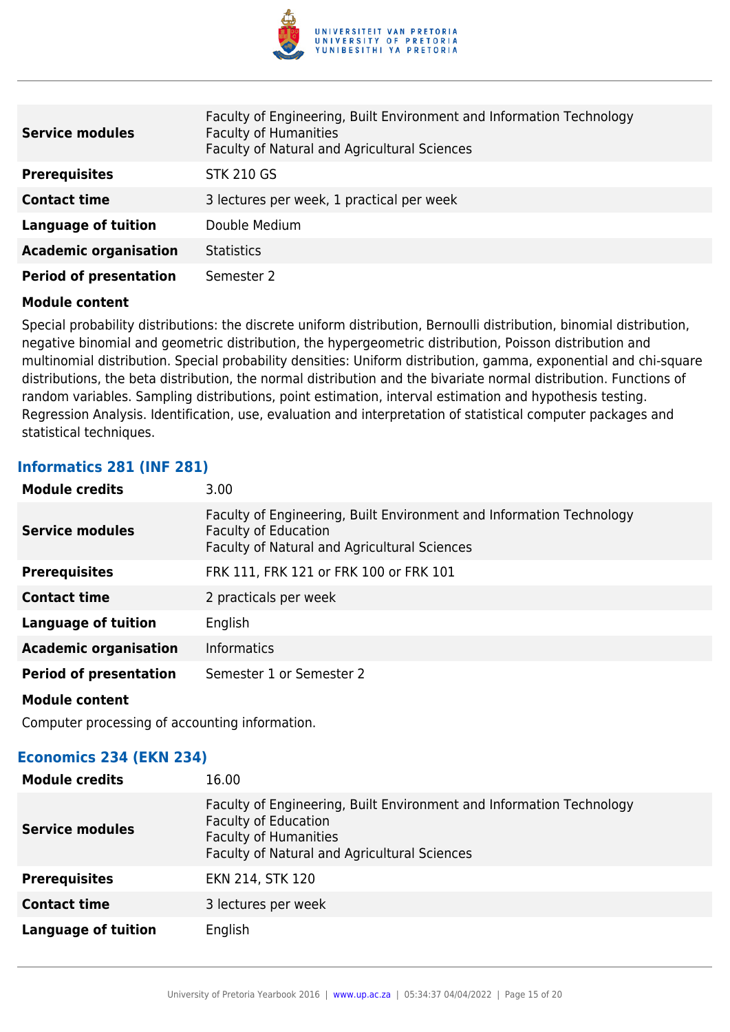

| <b>Service modules</b>        | Faculty of Engineering, Built Environment and Information Technology<br><b>Faculty of Humanities</b><br>Faculty of Natural and Agricultural Sciences |
|-------------------------------|------------------------------------------------------------------------------------------------------------------------------------------------------|
| <b>Prerequisites</b>          | <b>STK 210 GS</b>                                                                                                                                    |
| <b>Contact time</b>           | 3 lectures per week, 1 practical per week                                                                                                            |
| <b>Language of tuition</b>    | Double Medium                                                                                                                                        |
| <b>Academic organisation</b>  | <b>Statistics</b>                                                                                                                                    |
| <b>Period of presentation</b> | Semester 2                                                                                                                                           |

Special probability distributions: the discrete uniform distribution, Bernoulli distribution, binomial distribution, negative binomial and geometric distribution, the hypergeometric distribution, Poisson distribution and multinomial distribution. Special probability densities: Uniform distribution, gamma, exponential and chi-square distributions, the beta distribution, the normal distribution and the bivariate normal distribution. Functions of random variables. Sampling distributions, point estimation, interval estimation and hypothesis testing. Regression Analysis. Identification, use, evaluation and interpretation of statistical computer packages and statistical techniques.

#### **Informatics 281 (INF 281)**

| <b>Module credits</b>         | 3.00                                                                                                                                                |
|-------------------------------|-----------------------------------------------------------------------------------------------------------------------------------------------------|
| <b>Service modules</b>        | Faculty of Engineering, Built Environment and Information Technology<br>Faculty of Education<br><b>Faculty of Natural and Agricultural Sciences</b> |
| <b>Prerequisites</b>          | FRK 111, FRK 121 or FRK 100 or FRK 101                                                                                                              |
| <b>Contact time</b>           | 2 practicals per week                                                                                                                               |
| <b>Language of tuition</b>    | English                                                                                                                                             |
| <b>Academic organisation</b>  | <b>Informatics</b>                                                                                                                                  |
| <b>Period of presentation</b> | Semester 1 or Semester 2                                                                                                                            |
| <b>Module content</b>         |                                                                                                                                                     |

Computer processing of accounting information.

#### **Economics 234 (EKN 234)**

| <b>Module credits</b>      | 16.00                                                                                                                                                                               |
|----------------------------|-------------------------------------------------------------------------------------------------------------------------------------------------------------------------------------|
| <b>Service modules</b>     | Faculty of Engineering, Built Environment and Information Technology<br><b>Faculty of Education</b><br><b>Faculty of Humanities</b><br>Faculty of Natural and Agricultural Sciences |
| <b>Prerequisites</b>       | EKN 214, STK 120                                                                                                                                                                    |
| <b>Contact time</b>        | 3 lectures per week                                                                                                                                                                 |
| <b>Language of tuition</b> | English                                                                                                                                                                             |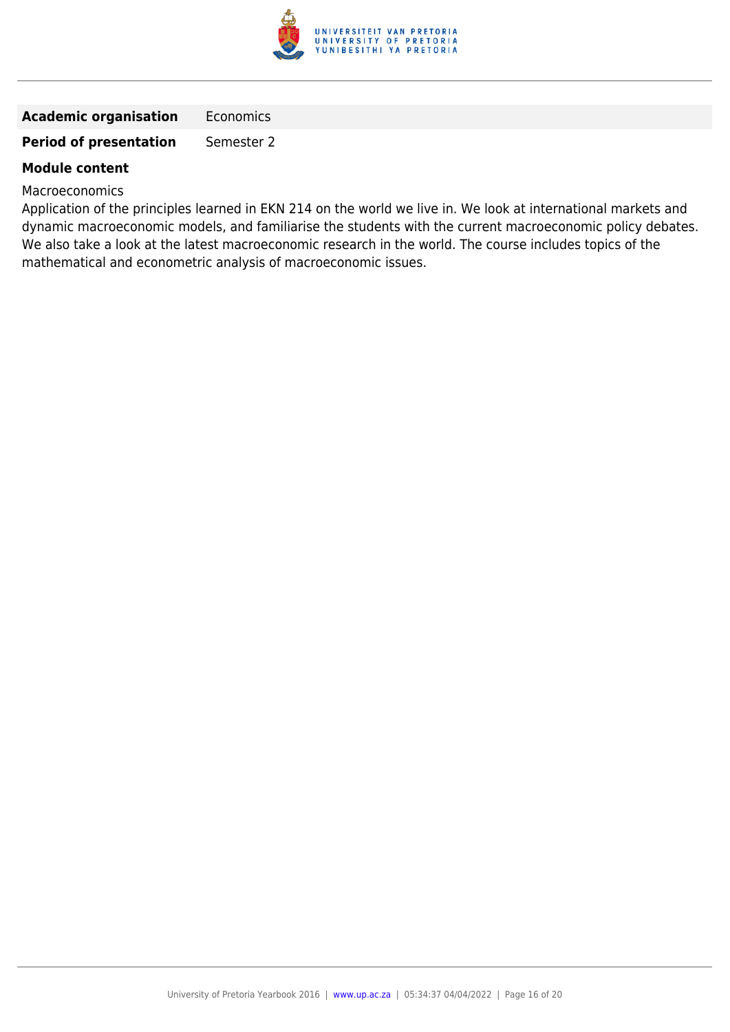

#### **Academic organisation** Economics

#### **Period of presentation** Semester 2

#### **Module content**

#### **Macroeconomics**

Application of the principles learned in EKN 214 on the world we live in. We look at international markets and dynamic macroeconomic models, and familiarise the students with the current macroeconomic policy debates. We also take a look at the latest macroeconomic research in the world. The course includes topics of the mathematical and econometric analysis of macroeconomic issues.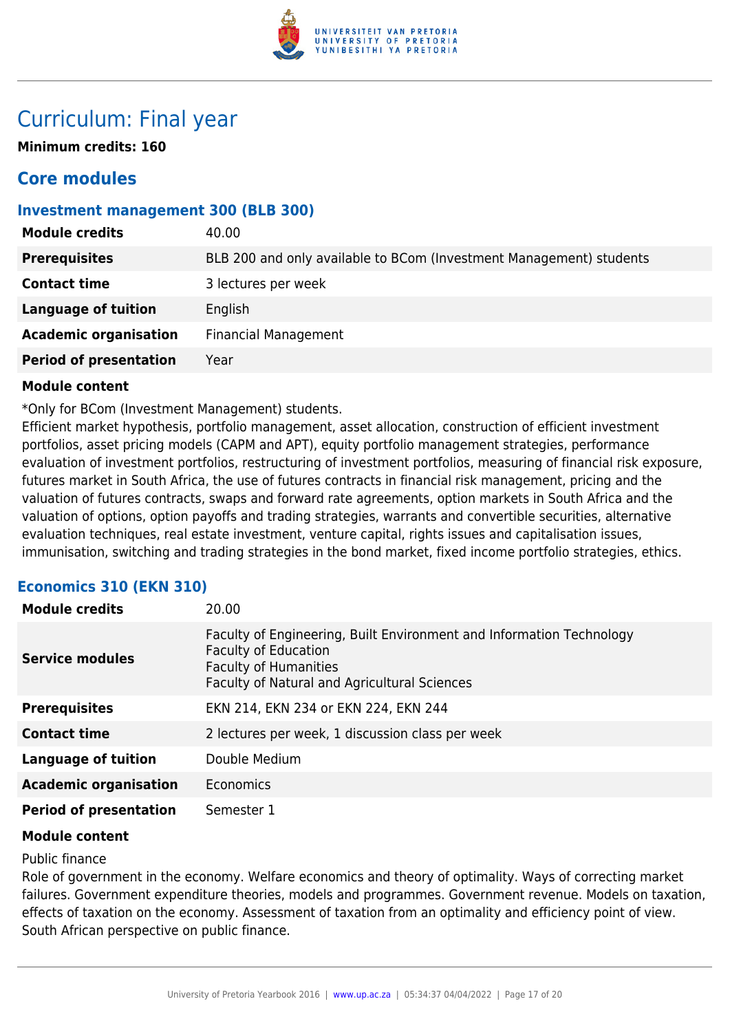

# Curriculum: Final year

**Minimum credits: 160**

## **Core modules**

#### **Investment management 300 (BLB 300)**

| 40.00                                                               |
|---------------------------------------------------------------------|
| BLB 200 and only available to BCom (Investment Management) students |
| 3 lectures per week                                                 |
| English                                                             |
| <b>Financial Management</b>                                         |
| Year                                                                |
|                                                                     |

#### **Module content**

\*Only for BCom (Investment Management) students.

Efficient market hypothesis, portfolio management, asset allocation, construction of efficient investment portfolios, asset pricing models (CAPM and APT), equity portfolio management strategies, performance evaluation of investment portfolios, restructuring of investment portfolios, measuring of financial risk exposure, futures market in South Africa, the use of futures contracts in financial risk management, pricing and the valuation of futures contracts, swaps and forward rate agreements, option markets in South Africa and the valuation of options, option payoffs and trading strategies, warrants and convertible securities, alternative evaluation techniques, real estate investment, venture capital, rights issues and capitalisation issues, immunisation, switching and trading strategies in the bond market, fixed income portfolio strategies, ethics.

#### **Economics 310 (EKN 310)**

| <b>Module credits</b>         | 20.00                                                                                                                                                                               |
|-------------------------------|-------------------------------------------------------------------------------------------------------------------------------------------------------------------------------------|
| <b>Service modules</b>        | Faculty of Engineering, Built Environment and Information Technology<br><b>Faculty of Education</b><br><b>Faculty of Humanities</b><br>Faculty of Natural and Agricultural Sciences |
| <b>Prerequisites</b>          | EKN 214, EKN 234 or EKN 224, EKN 244                                                                                                                                                |
| <b>Contact time</b>           | 2 lectures per week, 1 discussion class per week                                                                                                                                    |
| Language of tuition           | Double Medium                                                                                                                                                                       |
| <b>Academic organisation</b>  | Economics                                                                                                                                                                           |
| <b>Period of presentation</b> | Semester 1                                                                                                                                                                          |

#### **Module content**

#### Public finance

Role of government in the economy. Welfare economics and theory of optimality. Ways of correcting market failures. Government expenditure theories, models and programmes. Government revenue. Models on taxation, effects of taxation on the economy. Assessment of taxation from an optimality and efficiency point of view. South African perspective on public finance.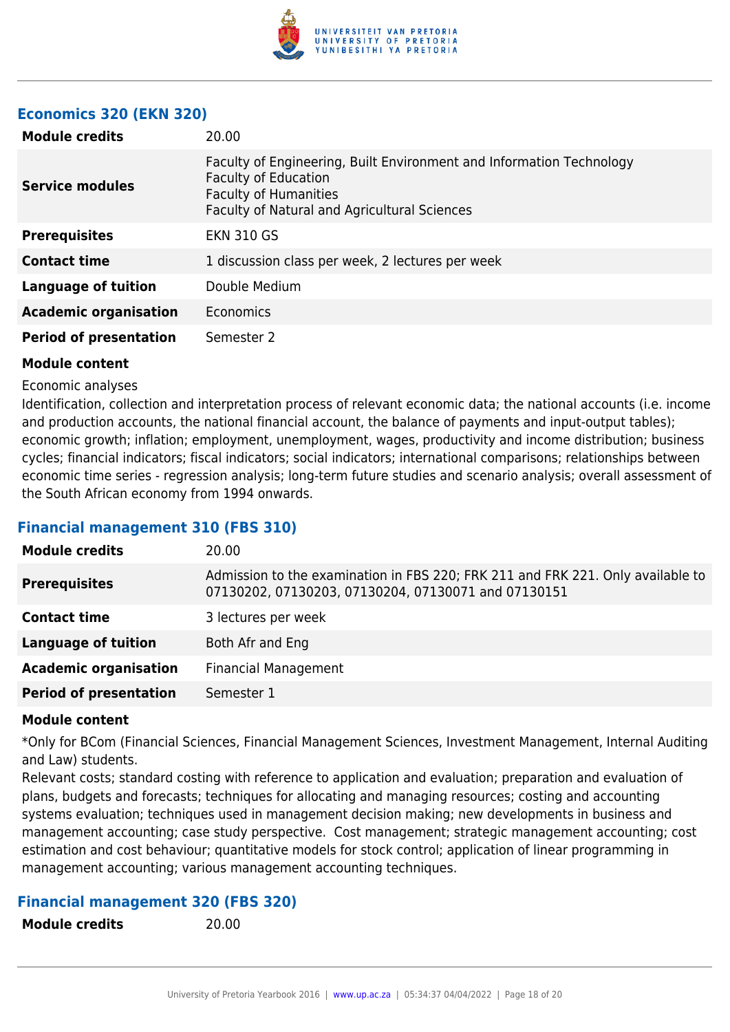

#### **Economics 320 (EKN 320)**

| <b>Module credits</b>         | 20.00                                                                                                                                                                               |
|-------------------------------|-------------------------------------------------------------------------------------------------------------------------------------------------------------------------------------|
| <b>Service modules</b>        | Faculty of Engineering, Built Environment and Information Technology<br><b>Faculty of Education</b><br><b>Faculty of Humanities</b><br>Faculty of Natural and Agricultural Sciences |
| <b>Prerequisites</b>          | <b>EKN 310 GS</b>                                                                                                                                                                   |
| <b>Contact time</b>           | 1 discussion class per week, 2 lectures per week                                                                                                                                    |
| <b>Language of tuition</b>    | Double Medium                                                                                                                                                                       |
| <b>Academic organisation</b>  | Economics                                                                                                                                                                           |
| <b>Period of presentation</b> | Semester 2                                                                                                                                                                          |

#### **Module content**

#### Economic analyses

Identification, collection and interpretation process of relevant economic data; the national accounts (i.e. income and production accounts, the national financial account, the balance of payments and input-output tables); economic growth; inflation; employment, unemployment, wages, productivity and income distribution; business cycles; financial indicators; fiscal indicators; social indicators; international comparisons; relationships between economic time series - regression analysis; long-term future studies and scenario analysis; overall assessment of the South African economy from 1994 onwards.

#### **Financial management 310 (FBS 310)**

| <b>Module credits</b>         | 20.00                                                                                                                                  |
|-------------------------------|----------------------------------------------------------------------------------------------------------------------------------------|
| <b>Prerequisites</b>          | Admission to the examination in FBS 220; FRK 211 and FRK 221. Only available to<br>07130202, 07130203, 07130204, 07130071 and 07130151 |
| <b>Contact time</b>           | 3 lectures per week                                                                                                                    |
| <b>Language of tuition</b>    | Both Afr and Eng                                                                                                                       |
| <b>Academic organisation</b>  | <b>Financial Management</b>                                                                                                            |
| <b>Period of presentation</b> | Semester 1                                                                                                                             |

#### **Module content**

\*Only for BCom (Financial Sciences, Financial Management Sciences, Investment Management, Internal Auditing and Law) students.

Relevant costs; standard costing with reference to application and evaluation; preparation and evaluation of plans, budgets and forecasts; techniques for allocating and managing resources; costing and accounting systems evaluation; techniques used in management decision making; new developments in business and management accounting; case study perspective. Cost management; strategic management accounting; cost estimation and cost behaviour; quantitative models for stock control; application of linear programming in management accounting; various management accounting techniques.

#### **Financial management 320 (FBS 320)**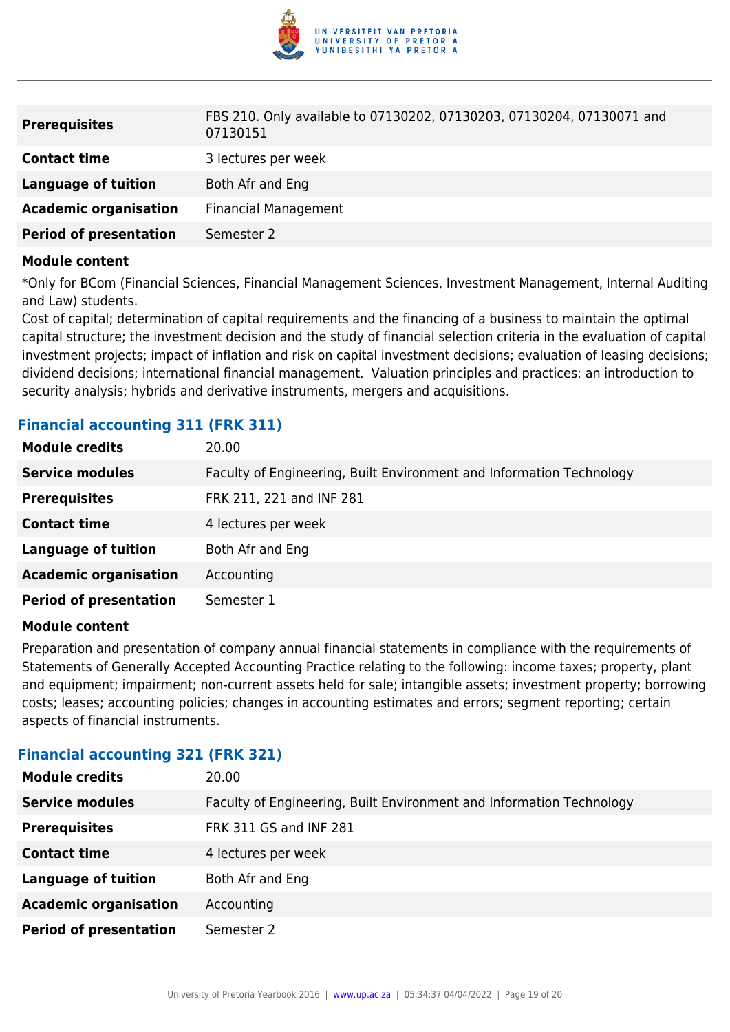

| <b>Prerequisites</b>          | FBS 210. Only available to 07130202, 07130203, 07130204, 07130071 and<br>07130151 |
|-------------------------------|-----------------------------------------------------------------------------------|
| <b>Contact time</b>           | 3 lectures per week                                                               |
| Language of tuition           | Both Afr and Eng                                                                  |
| <b>Academic organisation</b>  | <b>Financial Management</b>                                                       |
| <b>Period of presentation</b> | Semester 2                                                                        |

\*Only for BCom (Financial Sciences, Financial Management Sciences, Investment Management, Internal Auditing and Law) students.

Cost of capital; determination of capital requirements and the financing of a business to maintain the optimal capital structure; the investment decision and the study of financial selection criteria in the evaluation of capital investment projects; impact of inflation and risk on capital investment decisions; evaluation of leasing decisions; dividend decisions; international financial management. Valuation principles and practices: an introduction to security analysis; hybrids and derivative instruments, mergers and acquisitions.

| <b>Module credits</b>         | 20.00                                                                |
|-------------------------------|----------------------------------------------------------------------|
| <b>Service modules</b>        | Faculty of Engineering, Built Environment and Information Technology |
| <b>Prerequisites</b>          | FRK 211, 221 and INF 281                                             |
| <b>Contact time</b>           | 4 lectures per week                                                  |
| <b>Language of tuition</b>    | Both Afr and Eng                                                     |
| <b>Academic organisation</b>  | Accounting                                                           |
| <b>Period of presentation</b> | Semester 1                                                           |
|                               |                                                                      |

### **Financial accounting 311 (FRK 311)**

#### **Module content**

Preparation and presentation of company annual financial statements in compliance with the requirements of Statements of Generally Accepted Accounting Practice relating to the following: income taxes; property, plant and equipment; impairment; non-current assets held for sale; intangible assets; investment property; borrowing costs; leases; accounting policies; changes in accounting estimates and errors; segment reporting; certain aspects of financial instruments.

#### **Financial accounting 321 (FRK 321)**

| <b>Module credits</b>         | 20.00                                                                |
|-------------------------------|----------------------------------------------------------------------|
| <b>Service modules</b>        | Faculty of Engineering, Built Environment and Information Technology |
| <b>Prerequisites</b>          | FRK 311 GS and INF 281                                               |
| <b>Contact time</b>           | 4 lectures per week                                                  |
| <b>Language of tuition</b>    | Both Afr and Eng                                                     |
| <b>Academic organisation</b>  | Accounting                                                           |
| <b>Period of presentation</b> | Semester 2                                                           |